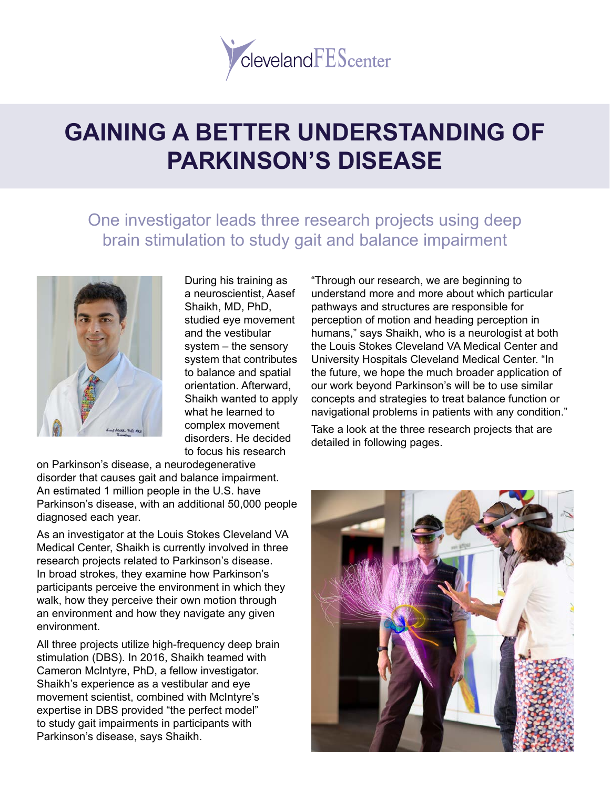

# **GAINING A BETTER UNDERSTANDING OF PARKINSON'S DISEASE**

## One investigator leads three research projects using deep brain stimulation to study gait and balance impairment



During his training as a neuroscientist, Aasef Shaikh, MD, PhD, studied eye movement and the vestibular system – the sensory system that contributes to balance and spatial orientation. Afterward, Shaikh wanted to apply what he learned to complex movement disorders. He decided to focus his research

on Parkinson's disease, a neurodegenerative disorder that causes gait and balance impairment. An estimated 1 million people in the U.S. have Parkinson's disease, with an additional 50,000 people diagnosed each year.

As an investigator at the Louis Stokes Cleveland VA Medical Center, Shaikh is currently involved in three research projects related to Parkinson's disease. In broad strokes, they examine how Parkinson's participants perceive the environment in which they walk, how they perceive their own motion through an environment and how they navigate any given environment.

All three projects utilize high-frequency deep brain stimulation (DBS). In 2016, Shaikh teamed with Cameron McIntyre, PhD, a fellow investigator. Shaikh's experience as a vestibular and eye movement scientist, combined with McIntyre's expertise in DBS provided "the perfect model" to study gait impairments in participants with Parkinson's disease, says Shaikh.

"Through our research, we are beginning to understand more and more about which particular pathways and structures are responsible for perception of motion and heading perception in humans," says Shaikh, who is a neurologist at both the Louis Stokes Cleveland VA Medical Center and University Hospitals Cleveland Medical Center. "In the future, we hope the much broader application of our work beyond Parkinson's will be to use similar concepts and strategies to treat balance function or navigational problems in patients with any condition."

Take a look at the three research projects that are detailed in following pages.

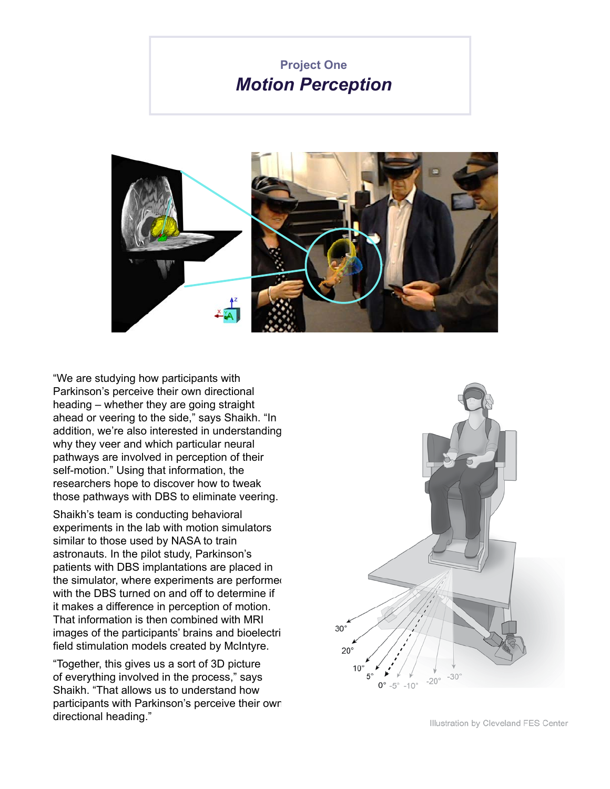#### **Project One** *Motion Perception*



"We are studying how participants with Parkinson's perceive their own directional heading – whether they are going straight ahead or veering to the side," says Shaikh. "In addition, we're also interested in understanding why they veer and which particular neural pathways are involved in perception of their self-motion." Using that information, the researchers hope to discover how to tweak those pathways with DBS to eliminate veering.

Shaikh's team is conducting behavioral experiments in the lab with motion simulators similar to those used by NASA to train astronauts. In the pilot study, Parkinson's patients with DBS implantations are placed in the simulator, where experiments are performed with the DBS turned on and off to determine if it makes a difference in perception of motion. That information is then combined with MRI images of the participants' brains and bioelectri field stimulation models created by McIntyre.

"Together, this gives us a sort of 3D picture of everything involved in the process," says Shaikh. "That allows us to understand how participants with Parkinson's perceive their own directional heading."

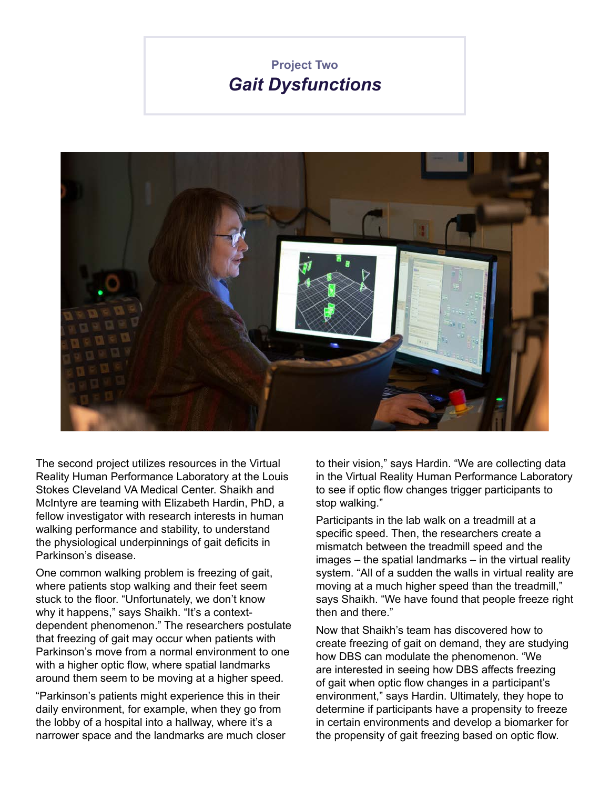### **Project Two** *Gait Dysfunctions*



The second project utilizes resources in the Virtual Reality Human Performance Laboratory at the Louis Stokes Cleveland VA Medical Center. Shaikh and McIntyre are teaming with Elizabeth Hardin, PhD, a fellow investigator with research interests in human walking performance and stability, to understand the physiological underpinnings of gait deficits in Parkinson's disease.

One common walking problem is freezing of gait, where patients stop walking and their feet seem stuck to the floor. "Unfortunately, we don't know why it happens," says Shaikh. "It's a contextdependent phenomenon." The researchers postulate that freezing of gait may occur when patients with Parkinson's move from a normal environment to one with a higher optic flow, where spatial landmarks around them seem to be moving at a higher speed.

"Parkinson's patients might experience this in their daily environment, for example, when they go from the lobby of a hospital into a hallway, where it's a narrower space and the landmarks are much closer

to their vision," says Hardin. "We are collecting data in the Virtual Reality Human Performance Laboratory to see if optic flow changes trigger participants to stop walking."

Participants in the lab walk on a treadmill at a specific speed. Then, the researchers create a mismatch between the treadmill speed and the images – the spatial landmarks – in the virtual reality system. "All of a sudden the walls in virtual reality are moving at a much higher speed than the treadmill," says Shaikh. "We have found that people freeze right then and there."

Now that Shaikh's team has discovered how to create freezing of gait on demand, they are studying how DBS can modulate the phenomenon. "We are interested in seeing how DBS affects freezing of gait when optic flow changes in a participant's environment," says Hardin. Ultimately, they hope to determine if participants have a propensity to freeze in certain environments and develop a biomarker for the propensity of gait freezing based on optic flow.